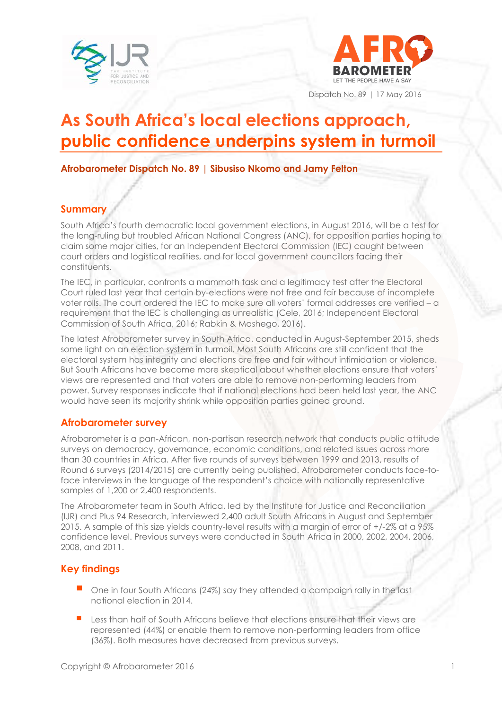



Dispatch No. 89 | 17 May 2016

# **As South Africa's local elections approach, public confidence underpins system in turmoil**

**Afrobarometer Dispatch No. 89 | Sibusiso Nkomo and Jamy Felton** 

# **Summary**

South Africa's fourth democratic local government elections, in August 2016, will be a test for the long-ruling but troubled African National Congress (ANC), for opposition parties hoping to claim some major cities, for an Independent Electoral Commission (IEC) caught between court orders and logistical realities, and for local government councillors facing their constituents.

The IEC, in particular, confronts a mammoth task and a legitimacy test after the Electoral Court ruled last year that certain by-elections were not free and fair because of incomplete voter rolls. The court ordered the IEC to make sure all voters' formal addresses are verified – a requirement that the IEC is challenging as unrealistic (Cele, 2016; Independent Electoral Commission of South Africa, 2016; Rabkin & Mashego, 2016).

The latest Afrobarometer survey in South Africa, conducted in August-September 2015, sheds some light on an election system in turmoil. Most South Africans are still confident that the electoral system has integrity and elections are free and fair without intimidation or violence. But South Africans have become more skeptical about whether elections ensure that voters' views are represented and that voters are able to remove non-performing leaders from power. Survey responses indicate that if national elections had been held last year, the ANC would have seen its majority shrink while opposition parties gained ground.

# **Afrobarometer survey**

Afrobarometer is a pan-African, non-partisan research network that conducts public attitude surveys on democracy, governance, economic conditions, and related issues across more than 30 countries in Africa. After five rounds of surveys between 1999 and 2013, results of Round 6 surveys (2014/2015) are currently being published. Afrobarometer conducts face-toface interviews in the language of the respondent's choice with nationally representative samples of 1,200 or 2,400 respondents.

The Afrobarometer team in South Africa, led by the Institute for Justice and Reconciliation (IJR) and Plus 94 Research, interviewed 2,400 adult South Africans in August and September 2015. A sample of this size yields country-level results with a margin of error of +/-2% at a 95% confidence level. Previous surveys were conducted in South Africa in 2000, 2002, 2004, 2006, 2008, and 2011.

# **Key findings**

- One in four South Africans (24%) say they attended a campaign rally in the last national election in 2014.
- Less than half of South Africans believe that elections ensure that their views are represented (44%) or enable them to remove non-performing leaders from office (36%). Both measures have decreased from previous surveys.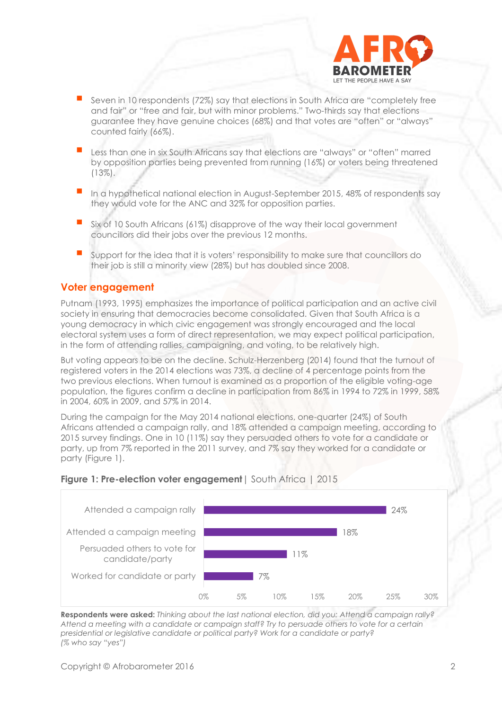

- Seven in 10 respondents (72%) say that elections in South Africa are "completely free and fair" or "free and fair, but with minor problems." Two-thirds say that elections guarantee they have genuine choices (68%) and that votes are "often" or "always" counted fairly (66%).
- Less than one in six South Africans say that elections are "always" or "often" marred by opposition parties being prevented from running (16%) or voters being threatened (13%).
- In a hypothetical national election in August-September 2015, 48% of respondents say they would vote for the ANC and 32% for opposition parties.
- Six of 10 South Africans (61%) disapprove of the way their local government councillors did their jobs over the previous 12 months.
- Support for the idea that it is voters' responsibility to make sure that councillors do their job is still a minority view (28%) but has doubled since 2008.

#### **Voter engagement**

Putnam (1993, 1995) emphasizes the importance of political participation and an active civil society in ensuring that democracies become consolidated. Given that South Africa is a young democracy in which civic engagement was strongly encouraged and the local electoral system uses a form of direct representation, we may expect political participation, in the form of attending rallies, campaigning, and voting, to be relatively high.

But voting appears to be on the decline. Schulz-Herzenberg (2014) found that the turnout of registered voters in the 2014 elections was 73%, a decline of 4 percentage points from the two previous elections. When turnout is examined as a proportion of the eligible voting-age population, the figures confirm a decline in participation from 86% in 1994 to 72% in 1999, 58% in 2004, 60% in 2009, and 57% in 2014.

During the campaign for the May 2014 national elections, one-quarter (24%) of South Africans attended a campaign rally, and 18% attended a campaign meeting, according to 2015 survey findings. One in 10 (11%) say they persuaded others to vote for a candidate or party, up from 7% reported in the 2011 survey, and 7% say they worked for a candidate or party (Figure 1).

#### **Figure 1: Pre-election voter engagement** | South Africa | 2015



**Respondents were asked:** *Thinking about the last national election, did you: Attend a campaign rally? Attend a meeting with a candidate or campaign staff? Try to persuade others to vote for a certain presidential or legislative candidate or political party? Work for a candidate or party? (% who say "yes")*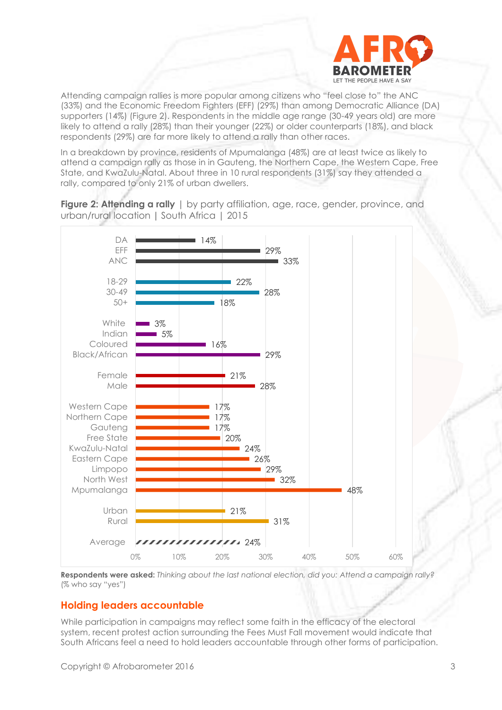

Attending campaign rallies is more popular among citizens who "feel close to" the ANC (33%) and the Economic Freedom Fighters (EFF) (29%) than among Democratic Alliance (DA) supporters (14%) (Figure 2). Respondents in the middle age range (30-49 years old) are more likely to attend a rally (28%) than their younger (22%) or older counterparts (18%), and black respondents (29%) are far more likely to attend a rally than other races.

In a breakdown by province, residents of Mpumalanga (48%) are at least twice as likely to attend a campaign rally as those in in Gauteng, the Northern Cape, the Western Cape, Free State, and KwaZulu-Natal. About three in 10 rural respondents (31%) say they attended a rally, compared to only 21% of urban dwellers.

**Figure 2: Attending a rally** | by party affiliation, age, race, gender, province, and urban/rural location **|** South Africa | 2015



**Respondents were asked:** *Thinking about the last national election, did you: Attend a campaign rally?* (% who say "yes")

#### **Holding leaders accountable**

While participation in campaigns may reflect some faith in the efficacy of the electoral system, recent protest action surrounding the Fees Must Fall movement would indicate that South Africans feel a need to hold leaders accountable through other forms of participation.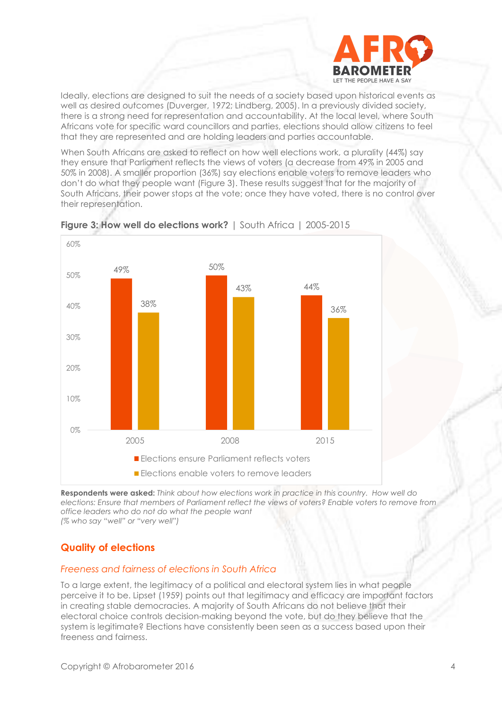

Ideally, elections are designed to suit the needs of a society based upon historical events as well as desired outcomes (Duverger, 1972; Lindberg, 2005). In a previously divided society, there is a strong need for representation and accountability. At the local level, where South Africans vote for specific ward councillors and parties, elections should allow citizens to feel that they are represented and are holding leaders and parties accountable.

When South Africans are asked to reflect on how well elections work, a plurality (44%) say they ensure that Parliament reflects the views of voters (a decrease from 49% in 2005 and 50% in 2008). A smaller proportion (36%) say elections enable voters to remove leaders who don't do what they people want (Figure 3). These results suggest that for the majority of South Africans, their power stops at the vote; once they have voted, there is no control over their representation.





**Respondents were asked:** *Think about how elections work in practice in this country. How well do elections: Ensure that members of Parliament reflect the views of voters? Enable voters to remove from office leaders who do not do what the people want (% who say "well" or "very well")* 

# **Quality of elections**

#### *Freeness and fairness of elections in South Africa*

To a large extent, the legitimacy of a political and electoral system lies in what people perceive it to be. Lipset (1959) points out that legitimacy and efficacy are important factors in creating stable democracies. A majority of South Africans do not believe that their electoral choice controls decision-making beyond the vote, but do they believe that the system is legitimate? Elections have consistently been seen as a success based upon their freeness and fairness.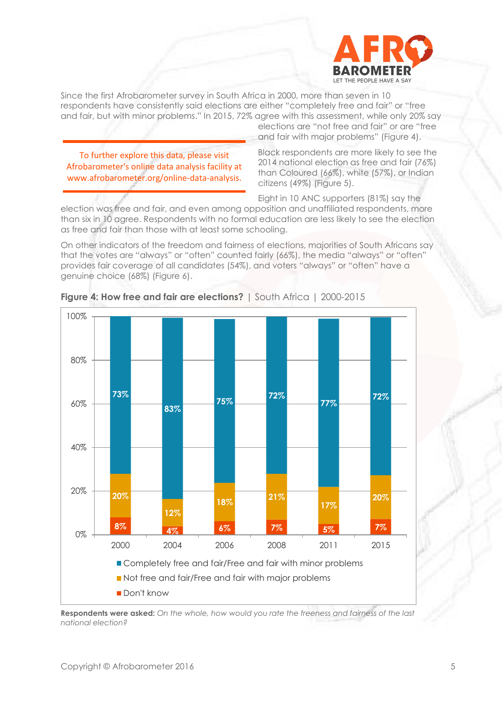

Since the first Afrobarometer survey in South Africa in 2000, more than seven in 10 respondents have consistently said elections are either "completely free and fair" or "free and fair, but with minor problems." In 2015, 72% agree with this assessment, while only 20% say

To further explore this data, please visit Afrobarometer's online data analysis facility at www.afrobarometer.org/online-data-analysis. elections are "not free and fair" or are "free and fair with major problems" (Figure 4).

Black respondents are more likely to see the 2014 national election as free and fair (76%) than Coloured (66%), white (57%), or Indian citizens (49%) (Figure 5).

Eight in 10 ANC supporters (81%) say the election was free and fair, and even among opposition and unaffiliated respondents, more than six in 10 agree. Respondents with no formal education are less likely to see the election as free and fair than those with at least some schooling.

On other indicators of the freedom and fairness of elections, majorities of South Africans say that the votes are "always" or "often" counted fairly (66%), the media "always" or "often" provides fair coverage of all candidates (54%), and voters "always" or "often" have a genuine choice (68%) (Figure 6).



**Figure 4: How free and fair are elections?** | South Africa | 2000-2015

**Respondents were asked:** *On the whole, how would you rate the freeness and fairness of the last national election?*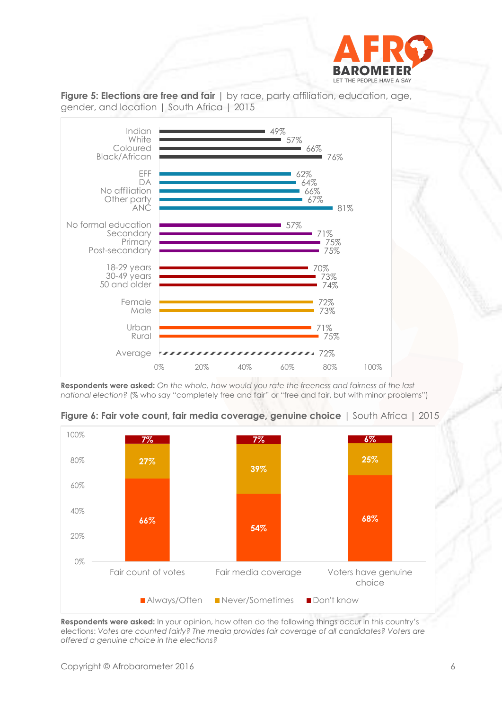



**Figure 5: Elections are free and fair**  $|$  by race, party affiliation, education, age, gender, and location | South Africa | 2015

**Respondents were asked:** *On the whole, how would you rate the freeness and fairness of the last national election?* (% who say "completely free and fair" or "free and fair, but with minor problems")



**Figure 6: Fair vote count, fair media coverage, genuine choice** | South Africa | 2015

**Respondents were asked:** In your opinion, how often do the following things occur in this country's elections: *Votes are counted fairly? The media provides fair coverage of all candidates? Voters are offered a genuine choice in the elections?*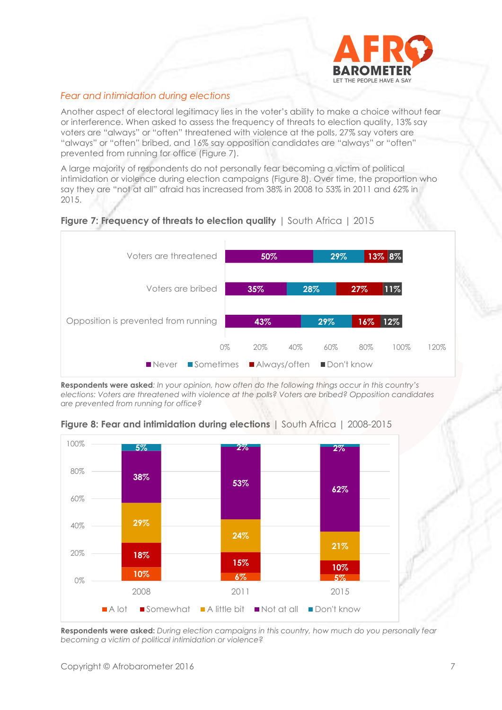

#### *Fear and intimidation during elections*

Another aspect of electoral legitimacy lies in the voter's ability to make a choice without fear or interference. When asked to assess the frequency of threats to election quality, 13% say voters are "always" or "often" threatened with violence at the polls, 27% say voters are "always" or "often" bribed, and 16% say opposition candidates are "always" or "often" prevented from running for office (Figure 7).

A large majority of respondents do not personally fear becoming a victim of political intimidation or violence during election campaigns (Figure 8). Over time, the proportion who say they are "not at all" afraid has increased from 38% in 2008 to 53% in 2011 and 62% in 2015.



#### **Figure 7: Frequency of threats to election quality I South Africa I 2015**

**Respondents were asked***: In your opinion, how often do the following things occur in this country's elections: Voters are threatened with violence at the polls? Voters are bribed? Opposition candidates are prevented from running for office?* 

**Figure 8: Fear and intimidation during elections** | South Africa | 2008-2015



**Respondents were asked:** *During election campaigns in this country, how much do you personally fear becoming a victim of political intimidation or violence?*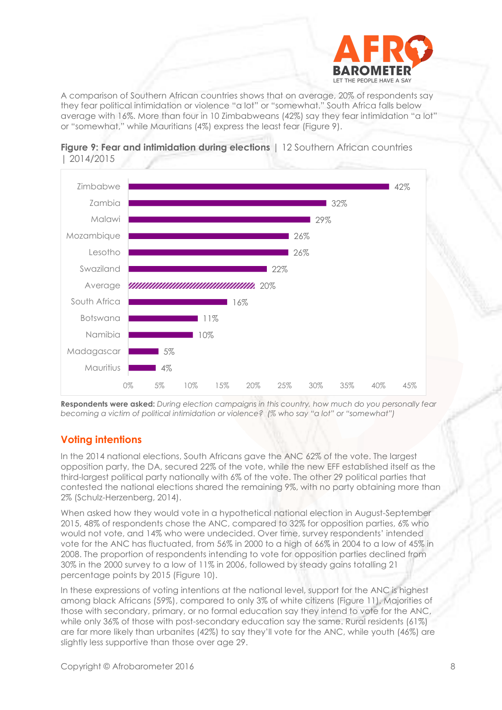

A comparison of Southern African countries shows that on average, 20% of respondents say they fear political intimidation or violence "a lot" or "somewhat." South Africa falls below average with 16%. More than four in 10 Zimbabweans (42%) say they fear intimidation "a lot" or "somewhat," while Mauritians (4%) express the least fear (Figure 9).





**Respondents were asked:** *During election campaigns in this country, how much do you personally fear becoming a victim of political intimidation or violence? (% who say "a lot" or "somewhat")*

# **Voting intentions**

In the 2014 national elections, South Africans gave the ANC 62% of the vote. The largest opposition party, the DA, secured 22% of the vote, while the new EFF established itself as the third-largest political party nationally with 6% of the vote. The other 29 political parties that contested the national elections shared the remaining 9%, with no party obtaining more than 2% (Schulz-Herzenberg, 2014).

When asked how they would vote in a hypothetical national election in August-September 2015, 48% of respondents chose the ANC, compared to 32% for opposition parties, 6% who would not vote, and 14% who were undecided. Over time, survey respondents' intended vote for the ANC has fluctuated, from 56% in 2000 to a high of 66% in 2004 to a low of 45% in 2008. The proportion of respondents intending to vote for opposition parties declined from 30% in the 2000 survey to a low of 11% in 2006, followed by steady gains totalling 21 percentage points by 2015 (Figure 10).

In these expressions of voting intentions at the national level, support for the ANC is highest among black Africans (59%), compared to only 3% of white citizens (Figure 11). Majorities of those with secondary, primary, or no formal education say they intend to vote for the ANC, while only 36% of those with post-secondary education say the same. Rural residents (61%) are far more likely than urbanites (42%) to say they'll vote for the ANC, while youth (46%) are slightly less supportive than those over age 29.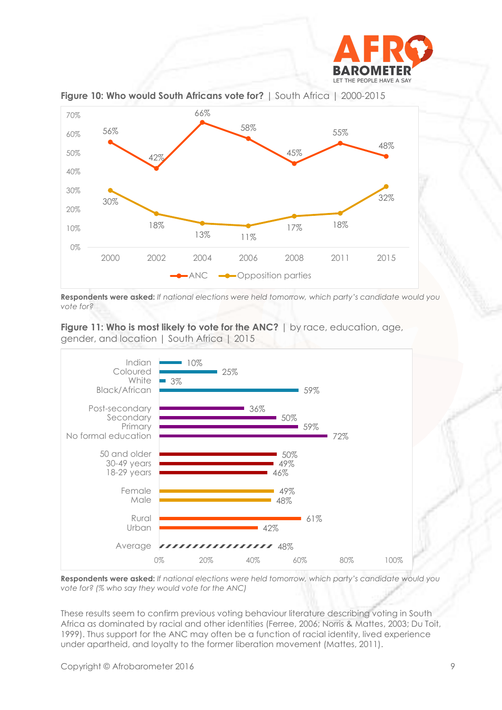



**Figure 10: Who would South Africans vote for?** | South Africa | 2000-2015

**Respondents were asked:** *If national elections were held tomorrow, which party's candidate would you vote for?* 

**Figure 11: Who is most likely to vote for the ANC?** | by race, education, age, gender, and location | South Africa | 2015



**Respondents were asked:** *If national elections were held tomorrow, which party's candidate would you vote for? (% who say they would vote for the ANC)*

These results seem to confirm previous voting behaviour literature describing voting in South Africa as dominated by racial and other identities (Ferree, 2006; Norris & Mattes, 2003; Du Toit, 1999). Thus support for the ANC may often be a function of racial identity, lived experience under apartheid, and loyalty to the former liberation movement (Mattes, 2011).

Copyright © Afrobarometer 2016 99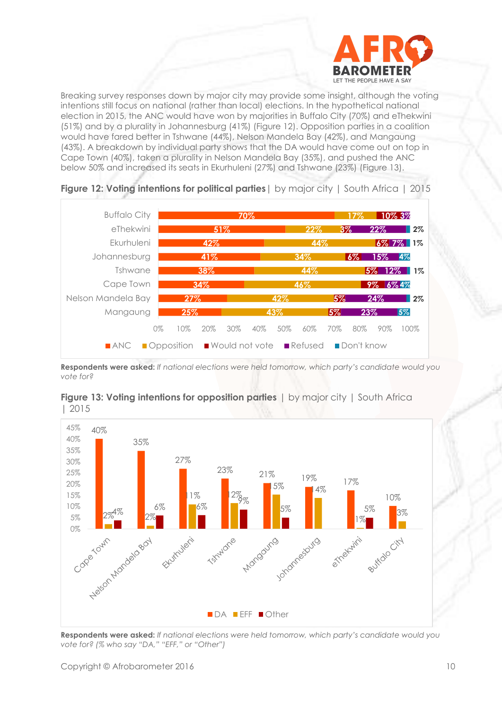

Breaking survey responses down by major city may provide some insight, although the voting intentions still focus on national (rather than local) elections. In the hypothetical national election in 2015, the ANC would have won by majorities in Buffalo City (70%) and eThekwini (51%) and by a plurality in Johannesburg (41%) (Figure 12). Opposition parties in a coalition would have fared better in Tshwane (44%), Nelson Mandela Bay (42%), and Mangaung (43%). A breakdown by individual party shows that the DA would have come out on top in Cape Town (40%), taken a plurality in Nelson Mandela Bay (35%), and pushed the ANC below 50% and increased its seats in Ekurhuleni (27%) and Tshwane (23%) (Figure 13).



**Figure 12: Voting intentions for political parties**| by major city | South Africa | 2015

**Respondents were asked:** *If national elections were held tomorrow, which party's candidate would you vote for?* 



**Figure 13: Voting intentions for opposition parties**  $\vert$  by major city  $\vert$  South Africa | 2015

**Respondents were asked:** *If national elections were held tomorrow, which party's candidate would you vote for? (% who say "DA," "EFF," or "Other")*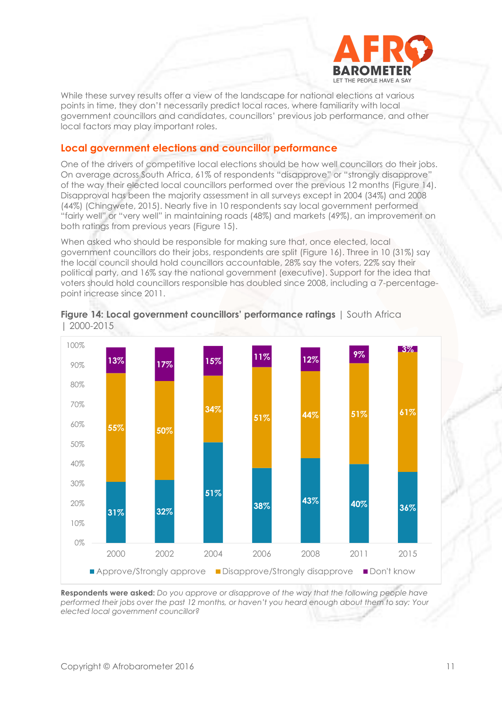

While these survey results offer a view of the landscape for national elections at various points in time, they don't necessarily predict local races, where familiarity with local government councillors and candidates, councillors' previous job performance, and other local factors may play important roles.

#### **Local government elections and councillor performance**

One of the drivers of competitive local elections should be how well councillors do their jobs. On average across South Africa, 61% of respondents "disapprove" or "strongly disapprove" of the way their elected local councillors performed over the previous 12 months (Figure 14). Disapproval has been the majority assessment in all surveys except in 2004 (34%) and 2008 (44%) (Chingwete, 2015). Nearly five in 10 respondents say local government performed "fairly well" or "very well" in maintaining roads (48%) and markets (49%), an improvement on both ratings from previous years (Figure 15).

When asked who should be responsible for making sure that, once elected, local government councillors do their jobs, respondents are split (Figure 16). Three in 10 (31%) say the local council should hold councillors accountable, 28% say the voters, 22% say their political party, and 16% say the national government (executive). Support for the idea that voters should hold councillors responsible has doubled since 2008, including a 7-percentagepoint increase since 2011.



#### **Figure 14: Local government councillors' performance ratings** | South Africa | 2000-2015

**Respondents were asked:** *Do you approve or disapprove of the way that the following people have performed their jobs over the past 12 months, or haven't you heard enough about them to say: Your elected local government councillor?*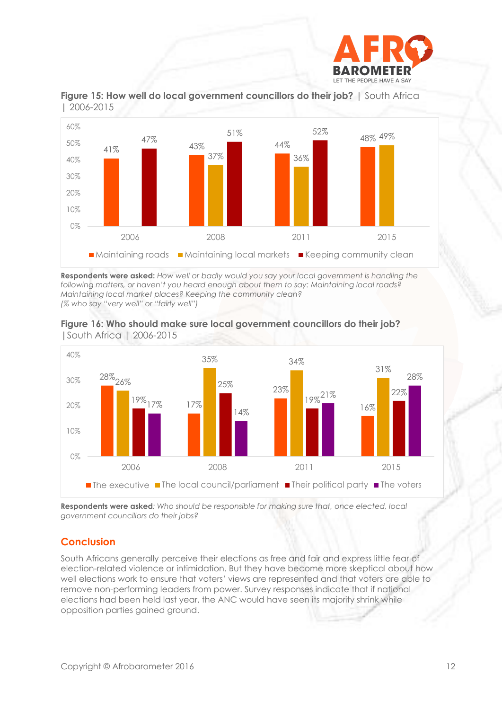





**Respondents were asked:** *How well or badly would you say your local government is handling the following matters, or haven't you heard enough about them to say: Maintaining local roads? Maintaining local market places? Keeping the community clean? (% who say "very well" or "fairly well")*



**Figure 16: Who should make sure local government councillors do their job?**  |South Africa | 2006-2015

**Respondents were asked***: Who should be responsible for making sure that, once elected, local government councillors do their jobs?*

# **Conclusion**

South Africans generally perceive their elections as free and fair and express little fear of election-related violence or intimidation. But they have become more skeptical about how well elections work to ensure that voters' views are represented and that voters are able to remove non-performing leaders from power. Survey responses indicate that if national elections had been held last year, the ANC would have seen its majority shrink while opposition parties gained ground.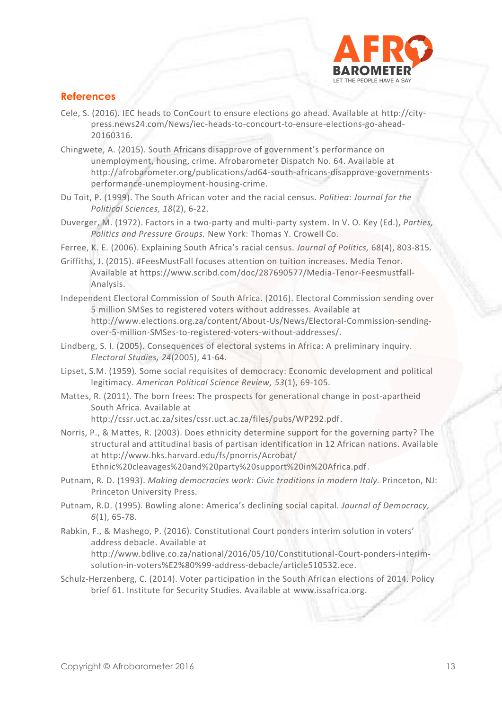

### **References**

- Cele, S. (2016). IEC heads to ConCourt to ensure elections go ahead. Available at [http://city](http://city-press.news24.com/News/iec-heads-to-concourt-to-ensure-elections-go-ahead-20160316)[press.news24.com/News/iec-heads-to-concourt-to-ensure-elections-go-ahead-](http://city-press.news24.com/News/iec-heads-to-concourt-to-ensure-elections-go-ahead-20160316)[20160316.](http://city-press.news24.com/News/iec-heads-to-concourt-to-ensure-elections-go-ahead-20160316)
- Chingwete, A. (2015). South Africans disapprove of government's performance on unemployment, housing, crime. Afrobarometer Dispatch No. 64. Available at http://afrobarometer.org/publications/ad64-south-africans-disapprove-governmentsperformance-unemployment-housing-crime.
- Du Toit, P. (1999). The South African voter and the racial census. *Politiea: Journal for the Political Sciences, 18*(2), 6-22.
- Duverger, M. (1972). Factors in a two-party and multi-party system. In V. O. Key (Ed.), *Parties, Politics and Pressure Groups.* New York: Thomas Y. Crowell Co.
- Ferree, K. E. (2006). Explaining South Africa's racial census. *Journal of Politics,* 68(4), 803-815.
- Griffiths, J. (2015). #FeesMustFall focuses attention on tuition increases. Media Tenor. Available at [https://www.scribd.com/doc/287690577/Media-Tenor-Feesmustfall-](https://www.scribd.com/doc/287690577/Media-Tenor-Feesmustfall-Analysis)[Analysis.](https://www.scribd.com/doc/287690577/Media-Tenor-Feesmustfall-Analysis)
- Independent Electoral Commission of South Africa. (2016). Electoral Commission sending over 5 million SMSes to registered voters without addresses. Available at [http://www.elections.org.za/content/About-Us/News/Electoral-Commission-sending](http://www.elections.org.za/content/About-Us/News/Electoral-Commission-sending-over-5-million-SMSes-to-registered-voters-without-addresses/)[over-5-million-SMSes-to-registered-voters-without-addresses/.](http://www.elections.org.za/content/About-Us/News/Electoral-Commission-sending-over-5-million-SMSes-to-registered-voters-without-addresses/)
- Lindberg, S. I. (2005). Consequences of electoral systems in Africa: A preliminary inquiry. *Electoral Studies, 24*(2005), 41-64.
- Lipset, S.M. (1959). Some social requisites of democracy: Economic development and political legitimacy. *American Political Science Review, 53*(1), 69-105.
- Mattes, R. (2011). The born frees: The prospects for generational change in post-apartheid South Africa. Available at

[http://cssr.uct.ac.za/sites/cssr.uct.ac.za/files/pubs/WP292.pdf.](http://cssr.uct.ac.za/sites/cssr.uct.ac.za/files/pubs/WP292.pdf)

- Norris, P., & Mattes, R. (2003). Does ethnicity determine support for the governing party? The structural and attitudinal basis of partisan identification in 12 African nations. Available at [http://www.hks.harvard.edu/fs/pnorris/Acrobat/](http://www.hks.harvard.edu/fs/pnorris/Acrobat/%20Ethnic%20cleavages%20and%20party%20support%20in%20Africa.pdf) 
	- [Ethnic%20cleavages%20and%20party%20support%20in%20Africa.pdf.](http://www.hks.harvard.edu/fs/pnorris/Acrobat/%20Ethnic%20cleavages%20and%20party%20support%20in%20Africa.pdf)
- Putnam, R. D. (1993). *Making democracies work: Civic traditions in modern Italy.* Princeton, NJ: Princeton University Press.
- Putnam, R.D. (1995). Bowling alone: America's declining social capital. *Journal of Democracy, 6*(1), 65-78.
- Rabkin, F., & Mashego, P. (2016). Constitutional Court ponders interim solution in voters' address debacle. Available at [http://www.bdlive.co.za/national/2016/05/10/Constitutional-Court-ponders-interim](http://www.bdlive.co.za/national/2016/05/10/Constitutional-Court-ponders-interim-solution-in-voters%E2%80%99-address-debacle/article510532.ece)[solution-in-voters%E2%80%99-address-debacle/article510532.ece.](http://www.bdlive.co.za/national/2016/05/10/Constitutional-Court-ponders-interim-solution-in-voters%E2%80%99-address-debacle/article510532.ece)
- Schulz-Herzenberg, C. (2014). Voter participation in the South African elections of 2014. Policy brief 61. Institute for Security Studies. Available at [www.issafrica.org.](http://www.issafrica.org/)